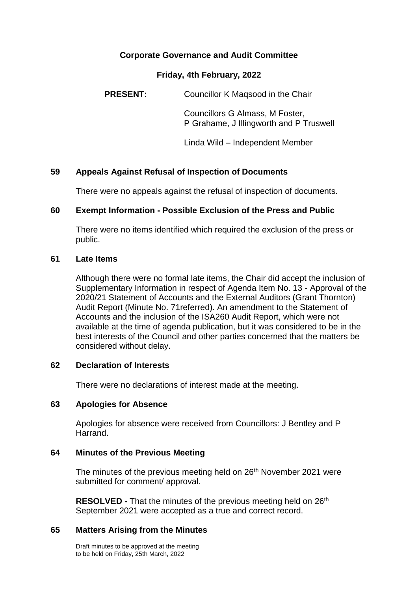## **Corporate Governance and Audit Committee**

#### **Friday, 4th February, 2022**

**PRESENT:** Councillor K Magsood in the Chair

Councillors G Almass, M Foster, P Grahame, J Illingworth and P Truswell

Linda Wild – Independent Member

## **59 Appeals Against Refusal of Inspection of Documents**

There were no appeals against the refusal of inspection of documents.

### **60 Exempt Information - Possible Exclusion of the Press and Public**

There were no items identified which required the exclusion of the press or public.

#### **61 Late Items**

Although there were no formal late items, the Chair did accept the inclusion of Supplementary Information in respect of Agenda Item No. 13 - Approval of the 2020/21 Statement of Accounts and the External Auditors (Grant Thornton) Audit Report (Minute No. 71referred). An amendment to the Statement of Accounts and the inclusion of the ISA260 Audit Report, which were not available at the time of agenda publication, but it was considered to be in the best interests of the Council and other parties concerned that the matters be considered without delay.

### **62 Declaration of Interests**

There were no declarations of interest made at the meeting.

### **63 Apologies for Absence**

Apologies for absence were received from Councillors: J Bentley and P Harrand.

### **64 Minutes of the Previous Meeting**

The minutes of the previous meeting held on 26<sup>th</sup> November 2021 were submitted for comment/ approval.

**RESOLVED -** That the minutes of the previous meeting held on 26<sup>th</sup> September 2021 were accepted as a true and correct record.

### **65 Matters Arising from the Minutes**

Draft minutes to be approved at the meeting to be held on Friday, 25th March, 2022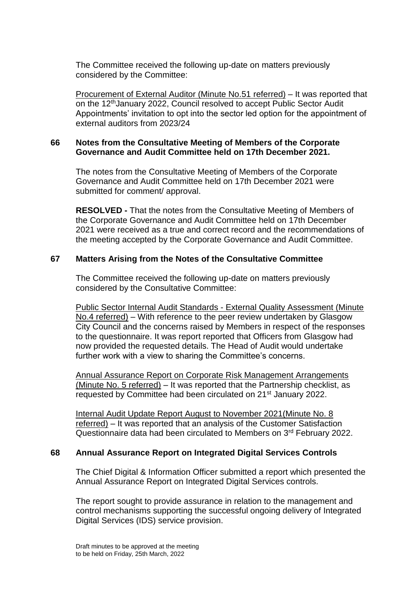The Committee received the following up-date on matters previously considered by the Committee:

Procurement of External Auditor (Minute No.51 referred) – It was reported that on the 12thJanuary 2022, Council resolved to accept Public Sector Audit Appointments' invitation to opt into the sector led option for the appointment of external auditors from 2023/24

## **66 Notes from the Consultative Meeting of Members of the Corporate Governance and Audit Committee held on 17th December 2021.**

The notes from the Consultative Meeting of Members of the Corporate Governance and Audit Committee held on 17th December 2021 were submitted for comment/ approval.

**RESOLVED -** That the notes from the Consultative Meeting of Members of the Corporate Governance and Audit Committee held on 17th December 2021 were received as a true and correct record and the recommendations of the meeting accepted by the Corporate Governance and Audit Committee.

## **67 Matters Arising from the Notes of the Consultative Committee**

The Committee received the following up-date on matters previously considered by the Consultative Committee:

Public Sector Internal Audit Standards - External Quality Assessment (Minute No.4 referred) – With reference to the peer review undertaken by Glasgow City Council and the concerns raised by Members in respect of the responses to the questionnaire. It was report reported that Officers from Glasgow had now provided the requested details. The Head of Audit would undertake further work with a view to sharing the Committee's concerns.

Annual Assurance Report on Corporate Risk Management Arrangements (Minute No. 5 referred) – It was reported that the Partnership checklist, as requested by Committee had been circulated on 21st January 2022.

Internal Audit Update Report August to November 2021(Minute No. 8 referred) – It was reported that an analysis of the Customer Satisfaction Questionnaire data had been circulated to Members on 3rd February 2022.

# **68 Annual Assurance Report on Integrated Digital Services Controls**

The Chief Digital & Information Officer submitted a report which presented the Annual Assurance Report on Integrated Digital Services controls.

The report sought to provide assurance in relation to the management and control mechanisms supporting the successful ongoing delivery of Integrated Digital Services (IDS) service provision.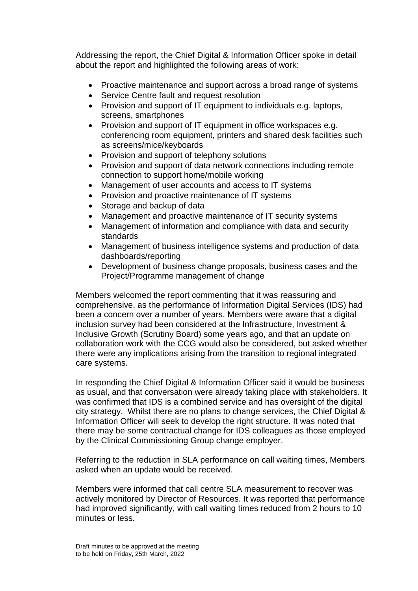Addressing the report, the Chief Digital & Information Officer spoke in detail about the report and highlighted the following areas of work:

- Proactive maintenance and support across a broad range of systems
- Service Centre fault and request resolution
- Provision and support of IT equipment to individuals e.g. laptops, screens, smartphones
- Provision and support of IT equipment in office workspaces e.g. conferencing room equipment, printers and shared desk facilities such as screens/mice/keyboards
- Provision and support of telephony solutions
- Provision and support of data network connections including remote connection to support home/mobile working
- Management of user accounts and access to IT systems
- Provision and proactive maintenance of IT systems
- Storage and backup of data
- Management and proactive maintenance of IT security systems
- Management of information and compliance with data and security standards
- Management of business intelligence systems and production of data dashboards/reporting
- Development of business change proposals, business cases and the Project/Programme management of change

Members welcomed the report commenting that it was reassuring and comprehensive, as the performance of Information Digital Services (IDS) had been a concern over a number of years. Members were aware that a digital inclusion survey had been considered at the Infrastructure, Investment & Inclusive Growth (Scrutiny Board) some years ago, and that an update on collaboration work with the CCG would also be considered, but asked whether there were any implications arising from the transition to regional integrated care systems.

In responding the Chief Digital & Information Officer said it would be business as usual, and that conversation were already taking place with stakeholders. It was confirmed that IDS is a combined service and has oversight of the digital city strategy. Whilst there are no plans to change services, the Chief Digital & Information Officer will seek to develop the right structure. It was noted that there may be some contractual change for IDS colleagues as those employed by the Clinical Commissioning Group change employer.

Referring to the reduction in SLA performance on call waiting times, Members asked when an update would be received.

Members were informed that call centre SLA measurement to recover was actively monitored by Director of Resources. It was reported that performance had improved significantly, with call waiting times reduced from 2 hours to 10 minutes or less.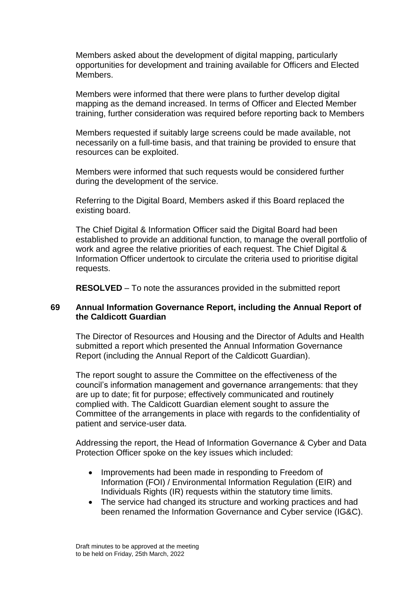Members asked about the development of digital mapping, particularly opportunities for development and training available for Officers and Elected Members.

Members were informed that there were plans to further develop digital mapping as the demand increased. In terms of Officer and Elected Member training, further consideration was required before reporting back to Members

Members requested if suitably large screens could be made available, not necessarily on a full-time basis, and that training be provided to ensure that resources can be exploited.

Members were informed that such requests would be considered further during the development of the service.

Referring to the Digital Board, Members asked if this Board replaced the existing board.

The Chief Digital & Information Officer said the Digital Board had been established to provide an additional function, to manage the overall portfolio of work and agree the relative priorities of each request. The Chief Digital & Information Officer undertook to circulate the criteria used to prioritise digital requests.

**RESOLVED** – To note the assurances provided in the submitted report

### **69 Annual Information Governance Report, including the Annual Report of the Caldicott Guardian**

The Director of Resources and Housing and the Director of Adults and Health submitted a report which presented the Annual Information Governance Report (including the Annual Report of the Caldicott Guardian).

The report sought to assure the Committee on the effectiveness of the council's information management and governance arrangements: that they are up to date; fit for purpose; effectively communicated and routinely complied with. The Caldicott Guardian element sought to assure the Committee of the arrangements in place with regards to the confidentiality of patient and service-user data.

Addressing the report, the Head of Information Governance & Cyber and Data Protection Officer spoke on the key issues which included:

- Improvements had been made in responding to Freedom of Information (FOI) / Environmental Information Regulation (EIR) and Individuals Rights (IR) requests within the statutory time limits.
- The service had changed its structure and working practices and had been renamed the Information Governance and Cyber service (IG&C).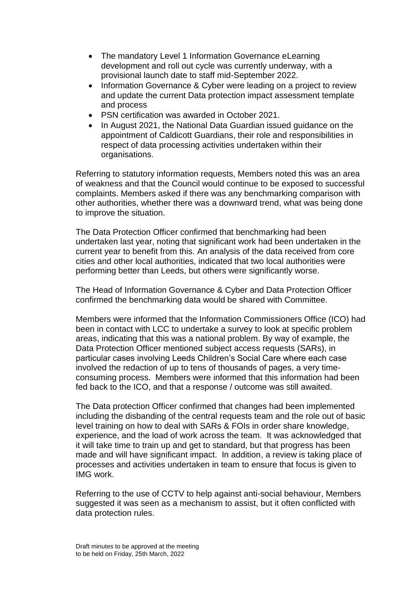- The mandatory Level 1 Information Governance eLearning development and roll out cycle was currently underway, with a provisional launch date to staff mid-September 2022.
- Information Governance & Cyber were leading on a project to review and update the current Data protection impact assessment template and process
- PSN certification was awarded in October 2021.
- In August 2021, the National Data Guardian issued guidance on the appointment of Caldicott Guardians, their role and responsibilities in respect of data processing activities undertaken within their organisations.

Referring to statutory information requests, Members noted this was an area of weakness and that the Council would continue to be exposed to successful complaints. Members asked if there was any benchmarking comparison with other authorities, whether there was a downward trend, what was being done to improve the situation.

The Data Protection Officer confirmed that benchmarking had been undertaken last year, noting that significant work had been undertaken in the current year to benefit from this. An analysis of the data received from core cities and other local authorities, indicated that two local authorities were performing better than Leeds, but others were significantly worse.

The Head of Information Governance & Cyber and Data Protection Officer confirmed the benchmarking data would be shared with Committee.

Members were informed that the Information Commissioners Office (ICO) had been in contact with LCC to undertake a survey to look at specific problem areas, indicating that this was a national problem. By way of example, the Data Protection Officer mentioned subject access requests (SARs), in particular cases involving Leeds Children's Social Care where each case involved the redaction of up to tens of thousands of pages, a very timeconsuming process. Members were informed that this information had been fed back to the ICO, and that a response / outcome was still awaited.

The Data protection Officer confirmed that changes had been implemented including the disbanding of the central requests team and the role out of basic level training on how to deal with SARs & FOIs in order share knowledge, experience, and the load of work across the team. It was acknowledged that it will take time to train up and get to standard, but that progress has been made and will have significant impact. In addition, a review is taking place of processes and activities undertaken in team to ensure that focus is given to IMG work.

Referring to the use of CCTV to help against anti-social behaviour, Members suggested it was seen as a mechanism to assist, but it often conflicted with data protection rules.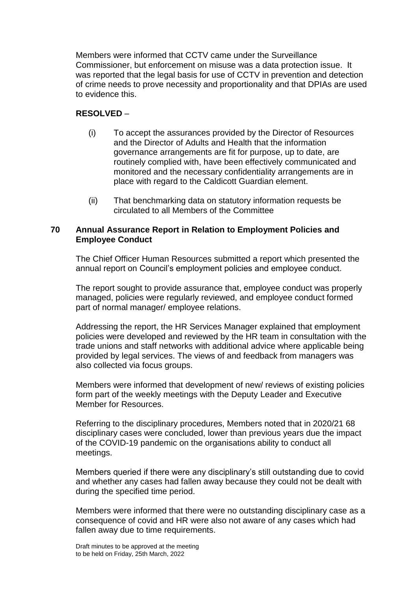Members were informed that CCTV came under the Surveillance Commissioner, but enforcement on misuse was a data protection issue. It was reported that the legal basis for use of CCTV in prevention and detection of crime needs to prove necessity and proportionality and that DPIAs are used to evidence this.

# **RESOLVED** –

- (i) To accept the assurances provided by the Director of Resources and the Director of Adults and Health that the information governance arrangements are fit for purpose, up to date, are routinely complied with, have been effectively communicated and monitored and the necessary confidentiality arrangements are in place with regard to the Caldicott Guardian element.
- (ii) That benchmarking data on statutory information requests be circulated to all Members of the Committee

### **70 Annual Assurance Report in Relation to Employment Policies and Employee Conduct**

The Chief Officer Human Resources submitted a report which presented the annual report on Council's employment policies and employee conduct.

The report sought to provide assurance that, employee conduct was properly managed, policies were regularly reviewed, and employee conduct formed part of normal manager/ employee relations.

Addressing the report, the HR Services Manager explained that employment policies were developed and reviewed by the HR team in consultation with the trade unions and staff networks with additional advice where applicable being provided by legal services. The views of and feedback from managers was also collected via focus groups.

Members were informed that development of new/ reviews of existing policies form part of the weekly meetings with the Deputy Leader and Executive Member for Resources.

Referring to the disciplinary procedures, Members noted that in 2020/21 68 disciplinary cases were concluded, lower than previous years due the impact of the COVID-19 pandemic on the organisations ability to conduct all meetings.

Members queried if there were any disciplinary's still outstanding due to covid and whether any cases had fallen away because they could not be dealt with during the specified time period.

Members were informed that there were no outstanding disciplinary case as a consequence of covid and HR were also not aware of any cases which had fallen away due to time requirements.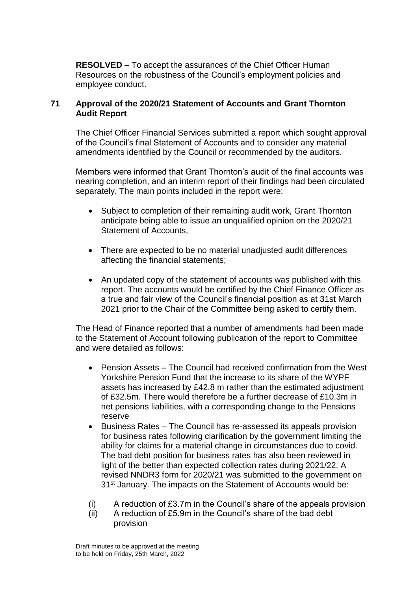**RESOLVED** – To accept the assurances of the Chief Officer Human Resources on the robustness of the Council's employment policies and employee conduct.

## **71 Approval of the 2020/21 Statement of Accounts and Grant Thornton Audit Report**

The Chief Officer Financial Services submitted a report which sought approval of the Council's final Statement of Accounts and to consider any material amendments identified by the Council or recommended by the auditors.

Members were informed that Grant Thornton's audit of the final accounts was nearing completion, and an interim report of their findings had been circulated separately. The main points included in the report were:

- Subject to completion of their remaining audit work, Grant Thornton anticipate being able to issue an unqualified opinion on the 2020/21 Statement of Accounts,
- There are expected to be no material unadjusted audit differences affecting the financial statements;
- An updated copy of the statement of accounts was published with this report. The accounts would be certified by the Chief Finance Officer as a true and fair view of the Council's financial position as at 31st March 2021 prior to the Chair of the Committee being asked to certify them.

The Head of Finance reported that a number of amendments had been made to the Statement of Account following publication of the report to Committee and were detailed as follows:

- Pension Assets The Council had received confirmation from the West Yorkshire Pension Fund that the increase to its share of the WYPF assets has increased by £42.8 m rather than the estimated adjustment of £32.5m. There would therefore be a further decrease of £10.3m in net pensions liabilities, with a corresponding change to the Pensions reserve
- Business Rates The Council has re-assessed its appeals provision for business rates following clarification by the government limiting the ability for claims for a material change in circumstances due to covid. The bad debt position for business rates has also been reviewed in light of the better than expected collection rates during 2021/22. A revised NNDR3 form for 2020/21 was submitted to the government on 31st January. The impacts on the Statement of Accounts would be:
- (i) A reduction of £3.7m in the Council's share of the appeals provision
- (ii) A reduction of £5.9m in the Council's share of the bad debt provision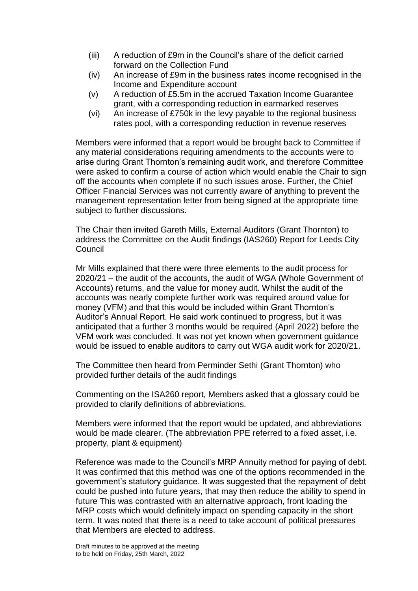- (iii) A reduction of £9m in the Council's share of the deficit carried forward on the Collection Fund
- (iv) An increase of £9m in the business rates income recognised in the Income and Expenditure account
- (v) A reduction of £5.5m in the accrued Taxation Income Guarantee grant, with a corresponding reduction in earmarked reserves
- (vi) An increase of £750k in the levy payable to the regional business rates pool, with a corresponding reduction in revenue reserves

Members were informed that a report would be brought back to Committee if any material considerations requiring amendments to the accounts were to arise during Grant Thornton's remaining audit work, and therefore Committee were asked to confirm a course of action which would enable the Chair to sign off the accounts when complete if no such issues arose. Further, the Chief Officer Financial Services was not currently aware of anything to prevent the management representation letter from being signed at the appropriate time subject to further discussions.

The Chair then invited Gareth Mills, External Auditors (Grant Thornton) to address the Committee on the Audit findings (IAS260) Report for Leeds City Council

Mr Mills explained that there were three elements to the audit process for 2020/21 – the audit of the accounts, the audit of WGA (Whole Government of Accounts) returns, and the value for money audit. Whilst the audit of the accounts was nearly complete further work was required around value for money (VFM) and that this would be included within Grant Thornton's Auditor's Annual Report. He said work continued to progress, but it was anticipated that a further 3 months would be required (April 2022) before the VFM work was concluded. It was not yet known when government guidance would be issued to enable auditors to carry out WGA audit work for 2020/21.

The Committee then heard from Perminder Sethi (Grant Thornton) who provided further details of the audit findings

Commenting on the ISA260 report, Members asked that a glossary could be provided to clarify definitions of abbreviations.

Members were informed that the report would be updated, and abbreviations would be made clearer. (The abbreviation PPE referred to a fixed asset, i.e. property, plant & equipment)

Reference was made to the Council's MRP Annuity method for paying of debt. It was confirmed that this method was one of the options recommended in the government's statutory guidance. It was suggested that the repayment of debt could be pushed into future years, that may then reduce the ability to spend in future This was contrasted with an alternative approach, front loading the MRP costs which would definitely impact on spending capacity in the short term. It was noted that there is a need to take account of political pressures that Members are elected to address.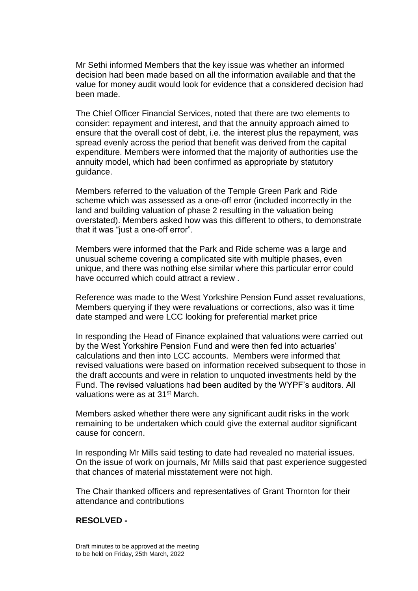Mr Sethi informed Members that the key issue was whether an informed decision had been made based on all the information available and that the value for money audit would look for evidence that a considered decision had been made.

The Chief Officer Financial Services, noted that there are two elements to consider: repayment and interest, and that the annuity approach aimed to ensure that the overall cost of debt, i.e. the interest plus the repayment, was spread evenly across the period that benefit was derived from the capital expenditure. Members were informed that the majority of authorities use the annuity model, which had been confirmed as appropriate by statutory guidance.

Members referred to the valuation of the Temple Green Park and Ride scheme which was assessed as a one-off error (included incorrectly in the land and building valuation of phase 2 resulting in the valuation being overstated). Members asked how was this different to others, to demonstrate that it was "just a one-off error".

Members were informed that the Park and Ride scheme was a large and unusual scheme covering a complicated site with multiple phases, even unique, and there was nothing else similar where this particular error could have occurred which could attract a review .

Reference was made to the West Yorkshire Pension Fund asset revaluations, Members querying if they were revaluations or corrections, also was it time date stamped and were LCC looking for preferential market price

In responding the Head of Finance explained that valuations were carried out by the West Yorkshire Pension Fund and were then fed into actuaries' calculations and then into LCC accounts. Members were informed that revised valuations were based on information received subsequent to those in the draft accounts and were in relation to unquoted investments held by the Fund. The revised valuations had been audited by the WYPF's auditors. All valuations were as at 31st March.

Members asked whether there were any significant audit risks in the work remaining to be undertaken which could give the external auditor significant cause for concern.

In responding Mr Mills said testing to date had revealed no material issues. On the issue of work on journals, Mr Mills said that past experience suggested that chances of material misstatement were not high.

The Chair thanked officers and representatives of Grant Thornton for their attendance and contributions

### **RESOLVED -**